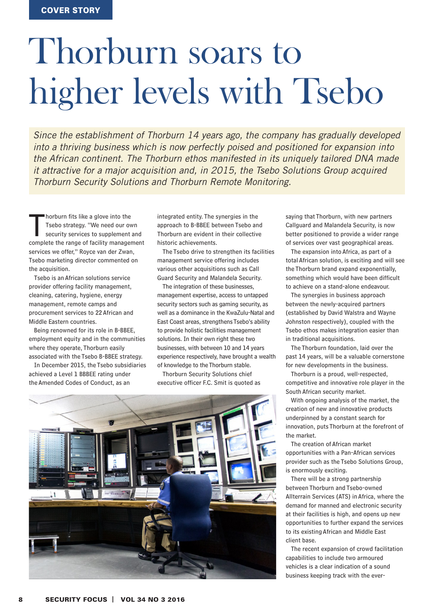## Thorburn soars to higher levels with Tsebo

*Since the establishment of Thorburn 14 years ago, the company has gradually developed into a thriving business which is now perfectly poised and positioned for expansion into the African continent. The Thorburn ethos manifested in its uniquely tailored DNA made it attractive for a major acquisition and, in 2015, the Tsebo Solutions Group acquired Thorburn Security Solutions and Thorburn Remote Monitoring.*

horburn fits like a glove into the<br>Tsebo strategy. "We need our own<br>security services to supplement and<br>complete the range of facility management horburn fits like a glove into the Tsebo strategy. "We need our own security services to supplement and services we offer," Royce van der Zwan, Tsebo marketing director commented on the acquisition.

Tsebo is an African solutions service provider offering facility management, cleaning, catering, hygiene, energy management, remote camps and procurement services to 22 African and Middle Eastern countries.

Being renowned for its role in B-BBEE, employment equity and in the communities where they operate, Thorburn easily associated with the Tsebo B-BBEE strategy.

In December 2015, the Tsebo subsidiaries achieved a Level 1 BBBEE rating under the Amended Codes of Conduct, as an

integrated entity. The synergies in the approach to B-BBEE between Tsebo and Thorburn are evident in their collective historic achievements.

The Tsebo drive to strengthen its facilities management service offering includes various other acquisitions such as Call Guard Security and Malandela Security.

The integration of these businesses, management expertise, access to untapped security sectors such as gaming security, as well as a dominance in the KwaZulu-Natal and East Coast areas, strengthens Tsebo's ability to provide holistic facilities management solutions. In their own right these two businesses, with between 10 and 14 years experience respectively, have brought a wealth of knowledge to the Thorburn stable.

Thorburn Security Solutions chief executive officer F.C. Smit is quoted as



saying that Thorburn, with new partners Callguard and Malandela Security, is now better positioned to provide a wider range of services over vast geographical areas.

The expansion into Africa, as part of a total African solution, is exciting and will see the Thorburn brand expand exponentially, something which would have been difficult to achieve on a stand-alone endeavour.

The synergies in business approach between the newly-acquired partners (established by David Walstra and Wayne Johnston respectively), coupled with the Tsebo ethos makes integration easier than in traditional acquisitions.

The Thorburn foundation, laid over the past 14 years, will be a valuable cornerstone for new developments in the business.

Thorburn is a proud, well-respected, competitive and innovative role player in the South African security market.

With ongoing analysis of the market, the creation of new and innovative products underpinned by a constant search for innovation, puts Thorburn at the forefront of the market.

The creation of African market opportunities with a Pan-African services provider such as the Tsebo Solutions Group, is enormously exciting.

There will be a strong partnership between Thorburn and Tsebo-owned Allterrain Services (ATS) in Africa, where the demand for manned and electronic security at their facilities is high, and opens up new opportunities to further expand the services to its existing African and Middle East client base.

The recent expansion of crowd facilitation capabilities to include two armoured vehicles is a clear indication of a sound business keeping track with the ever-